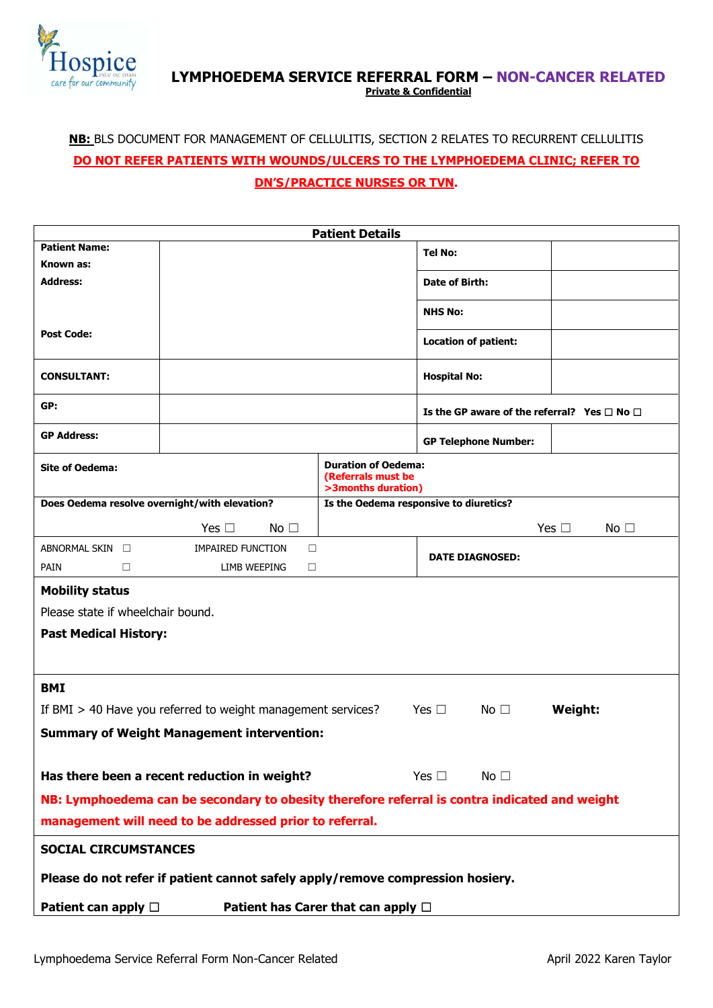

## **LYMPHOEDEMA SERVICE REFERRAL FORM – NON-CANCER RELATED Private & Confidential**

## **NB:** BLS DOCUMENT FOR MANAGEMENT OF CELLULITIS, SECTION 2 RELATES TO RECURRENT CELLULITIS **DO NOT REFER PATIENTS WITH WOUNDS/ULCERS TO THE LYMPHOEDEMA CLINIC; REFER TO DN'S/PRACTICE NURSES OR TVN.**

| <b>Patient Details</b>                                                                           |                                              |  |                               |                                                       |  |  |
|--------------------------------------------------------------------------------------------------|----------------------------------------------|--|-------------------------------|-------------------------------------------------------|--|--|
| <b>Patient Name:</b>                                                                             |                                              |  | <b>Tel No:</b>                |                                                       |  |  |
| Known as:                                                                                        |                                              |  |                               |                                                       |  |  |
| <b>Address:</b>                                                                                  |                                              |  | Date of Birth:                |                                                       |  |  |
|                                                                                                  |                                              |  | <b>NHS No:</b>                |                                                       |  |  |
| <b>Post Code:</b>                                                                                |                                              |  | <b>Location of patient:</b>   |                                                       |  |  |
| <b>CONSULTANT:</b>                                                                               |                                              |  | <b>Hospital No:</b>           |                                                       |  |  |
| GP:                                                                                              |                                              |  |                               | Is the GP aware of the referral? Yes $\Box$ No $\Box$ |  |  |
| <b>GP Address:</b>                                                                               |                                              |  | <b>GP Telephone Number:</b>   |                                                       |  |  |
| <b>Duration of Oedema:</b><br><b>Site of Oedema:</b><br>(Referrals must be<br>>3months duration) |                                              |  |                               |                                                       |  |  |
| Does Oedema resolve overnight/with elevation?<br>Is the Oedema responsive to diuretics?          |                                              |  |                               |                                                       |  |  |
|                                                                                                  | Yes $\Box$<br>No $\square$                   |  |                               | Yes $\square$<br>No $\square$                         |  |  |
| ABNORMAL SKIN $\square$                                                                          | $\Box$<br><b>IMPAIRED FUNCTION</b>           |  |                               |                                                       |  |  |
| <b>PAIN</b><br>п                                                                                 | LIMB WEEPING<br>$\Box$                       |  | <b>DATE DIAGNOSED:</b>        |                                                       |  |  |
| <b>Mobility status</b>                                                                           |                                              |  |                               |                                                       |  |  |
| Please state if wheelchair bound.                                                                |                                              |  |                               |                                                       |  |  |
| <b>Past Medical History:</b>                                                                     |                                              |  |                               |                                                       |  |  |
|                                                                                                  |                                              |  |                               |                                                       |  |  |
| <b>BMI</b>                                                                                       |                                              |  |                               |                                                       |  |  |
| If BMI > 40 Have you referred to weight management services?                                     |                                              |  | Yes $\Box$<br>No $\square$    | Weight:                                               |  |  |
| <b>Summary of Weight Management intervention:</b>                                                |                                              |  |                               |                                                       |  |  |
|                                                                                                  | Has there been a recent reduction in weight? |  | Yes $\square$<br>No $\square$ |                                                       |  |  |
| NB: Lymphoedema can be secondary to obesity therefore referral is contra indicated and weight    |                                              |  |                               |                                                       |  |  |
|                                                                                                  |                                              |  |                               |                                                       |  |  |
| management will need to be addressed prior to referral.                                          |                                              |  |                               |                                                       |  |  |
| <b>SOCIAL CIRCUMSTANCES</b>                                                                      |                                              |  |                               |                                                       |  |  |
| Please do not refer if patient cannot safely apply/remove compression hosiery.                   |                                              |  |                               |                                                       |  |  |
| Patient can apply $\Box$<br>Patient has Carer that can apply $\Box$                              |                                              |  |                               |                                                       |  |  |